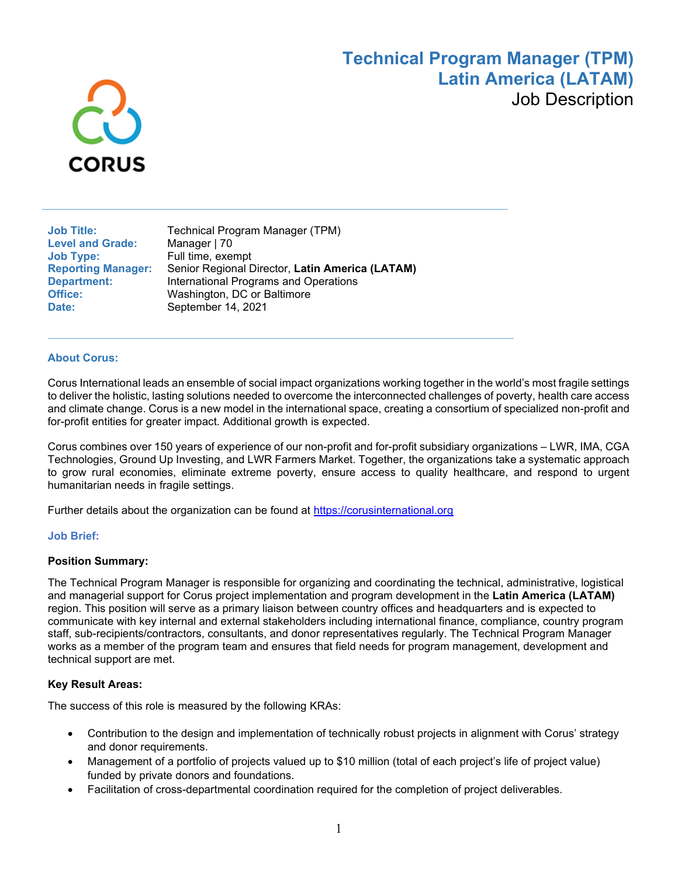# **Technical Program Manager (TPM) Latin America (LATAM)** Job Description



**Level and Grade:**<br>Job Type: **Date:** September 14, 2021

**Job Title: Technical Program Manager (TPM)**<br>
Level and Grade: Manager | 70 Full time, exempt **Reporting Manager:** Senior Regional Director, **Latin America (LATAM) Department:** International Programs and Operations<br> **Office:** Washington, DC or Baltimore **Office:** Washington, DC or Baltimore

### **About Corus:**

Corus International leads an ensemble of social impact organizations working together in the world's most fragile settings to deliver the holistic, lasting solutions needed to overcome the interconnected challenges of poverty, health care access and climate change. Corus is a new model in the international space, creating a consortium of specialized non-profit and for-profit entities for greater impact. Additional growth is expected.

Corus combines over 150 years of experience of our non-profit and for-profit subsidiary organizations – LWR, IMA, CGA Technologies, Ground Up Investing, and LWR Farmers Market. Together, the organizations take a systematic approach to grow rural economies, eliminate extreme poverty, ensure access to quality healthcare, and respond to urgent humanitarian needs in fragile settings.

Further details about the organization can be found at [https://corusinternational.org](https://corusinternational.org/)

#### **Job Brief:**

#### **Position Summary:**

The Technical Program Manager is responsible for organizing and coordinating the technical, administrative, logistical and managerial support for Corus project implementation and program development in the **Latin America (LATAM)**  region. This position will serve as a primary liaison between country offices and headquarters and is expected to communicate with key internal and external stakeholders including international finance, compliance, country program staff, sub-recipients/contractors, consultants, and donor representatives regularly. The Technical Program Manager works as a member of the program team and ensures that field needs for program management, development and technical support are met.

### **Key Result Areas:**

The success of this role is measured by the following KRAs:

- Contribution to the design and implementation of technically robust projects in alignment with Corus' strategy and donor requirements.
- Management of a portfolio of projects valued up to \$10 million (total of each project's life of project value) funded by private donors and foundations.
- Facilitation of cross-departmental coordination required for the completion of project deliverables.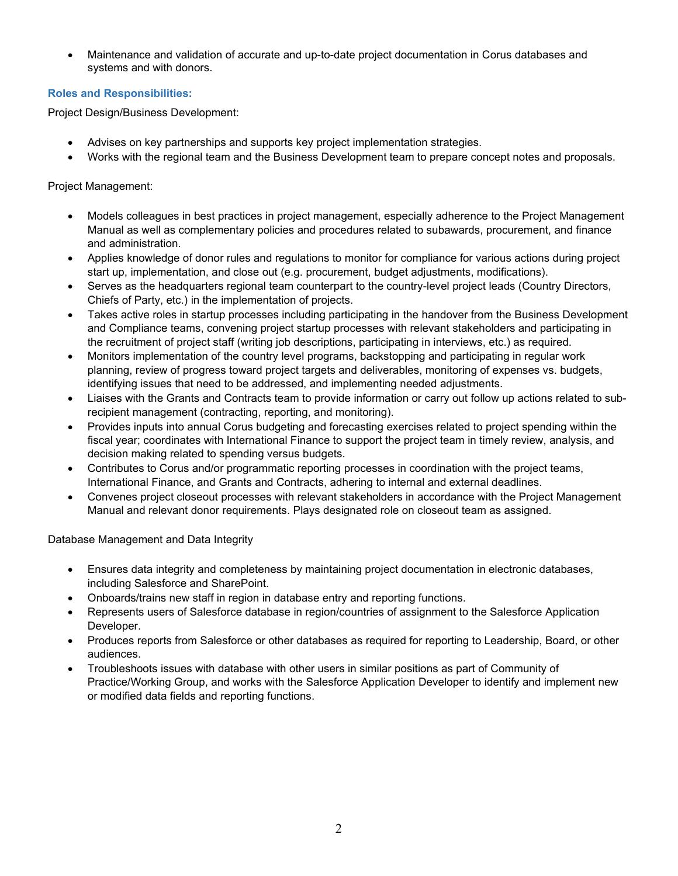• Maintenance and validation of accurate and up-to-date project documentation in Corus databases and systems and with donors.

### **Roles and Responsibilities:**

Project Design/Business Development:

- Advises on key partnerships and supports key project implementation strategies.
- Works with the regional team and the Business Development team to prepare concept notes and proposals.

Project Management:

- Models colleagues in best practices in project management, especially adherence to the Project Management Manual as well as complementary policies and procedures related to subawards, procurement, and finance and administration.
- Applies knowledge of donor rules and regulations to monitor for compliance for various actions during project start up, implementation, and close out (e.g. procurement, budget adjustments, modifications).
- Serves as the headquarters regional team counterpart to the country-level project leads (Country Directors, Chiefs of Party, etc.) in the implementation of projects.
- Takes active roles in startup processes including participating in the handover from the Business Development and Compliance teams, convening project startup processes with relevant stakeholders and participating in the recruitment of project staff (writing job descriptions, participating in interviews, etc.) as required.
- Monitors implementation of the country level programs, backstopping and participating in regular work planning, review of progress toward project targets and deliverables, monitoring of expenses vs. budgets, identifying issues that need to be addressed, and implementing needed adjustments.
- Liaises with the Grants and Contracts team to provide information or carry out follow up actions related to subrecipient management (contracting, reporting, and monitoring).
- Provides inputs into annual Corus budgeting and forecasting exercises related to project spending within the fiscal year; coordinates with International Finance to support the project team in timely review, analysis, and decision making related to spending versus budgets.
- Contributes to Corus and/or programmatic reporting processes in coordination with the project teams, International Finance, and Grants and Contracts, adhering to internal and external deadlines.
- Convenes project closeout processes with relevant stakeholders in accordance with the Project Management Manual and relevant donor requirements. Plays designated role on closeout team as assigned.

Database Management and Data Integrity

- Ensures data integrity and completeness by maintaining project documentation in electronic databases, including Salesforce and SharePoint.
- Onboards/trains new staff in region in database entry and reporting functions.
- Represents users of Salesforce database in region/countries of assignment to the Salesforce Application Developer.
- Produces reports from Salesforce or other databases as required for reporting to Leadership, Board, or other audiences.
- Troubleshoots issues with database with other users in similar positions as part of Community of Practice/Working Group, and works with the Salesforce Application Developer to identify and implement new or modified data fields and reporting functions.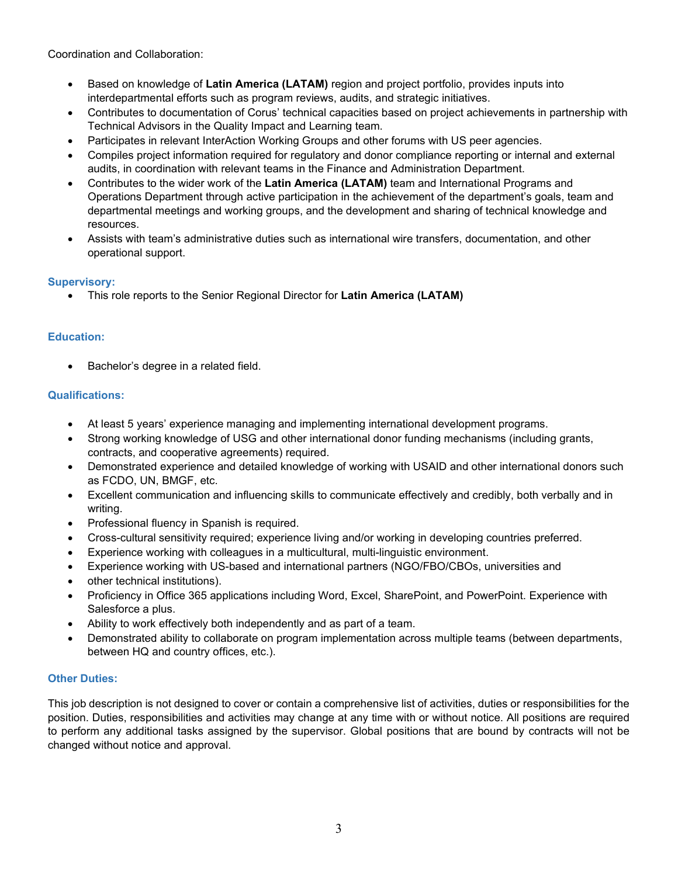Coordination and Collaboration:

- Based on knowledge of **Latin America (LATAM)** region and project portfolio, provides inputs into interdepartmental efforts such as program reviews, audits, and strategic initiatives.
- Contributes to documentation of Corus' technical capacities based on project achievements in partnership with Technical Advisors in the Quality Impact and Learning team.
- Participates in relevant InterAction Working Groups and other forums with US peer agencies.
- Compiles project information required for regulatory and donor compliance reporting or internal and external audits, in coordination with relevant teams in the Finance and Administration Department.
- Contributes to the wider work of the **Latin America (LATAM)** team and International Programs and Operations Department through active participation in the achievement of the department's goals, team and departmental meetings and working groups, and the development and sharing of technical knowledge and resources.
- Assists with team's administrative duties such as international wire transfers, documentation, and other operational support.

## **Supervisory:**

• This role reports to the Senior Regional Director for **Latin America (LATAM)**

## **Education:**

• Bachelor's degree in a related field.

## **Qualifications:**

- At least 5 years' experience managing and implementing international development programs.
- Strong working knowledge of USG and other international donor funding mechanisms (including grants, contracts, and cooperative agreements) required.
- Demonstrated experience and detailed knowledge of working with USAID and other international donors such as FCDO, UN, BMGF, etc.
- Excellent communication and influencing skills to communicate effectively and credibly, both verbally and in writing.
- Professional fluency in Spanish is required.
- Cross-cultural sensitivity required; experience living and/or working in developing countries preferred.
- Experience working with colleagues in a multicultural, multi-linguistic environment.
- Experience working with US-based and international partners (NGO/FBO/CBOs, universities and
- other technical institutions).
- Proficiency in Office 365 applications including Word, Excel, SharePoint, and PowerPoint. Experience with Salesforce a plus.
- Ability to work effectively both independently and as part of a team.
- Demonstrated ability to collaborate on program implementation across multiple teams (between departments, between HQ and country offices, etc.).

# **Other Duties:**

This job description is not designed to cover or contain a comprehensive list of activities, duties or responsibilities for the position. Duties, responsibilities and activities may change at any time with or without notice. All positions are required to perform any additional tasks assigned by the supervisor. Global positions that are bound by contracts will not be changed without notice and approval.